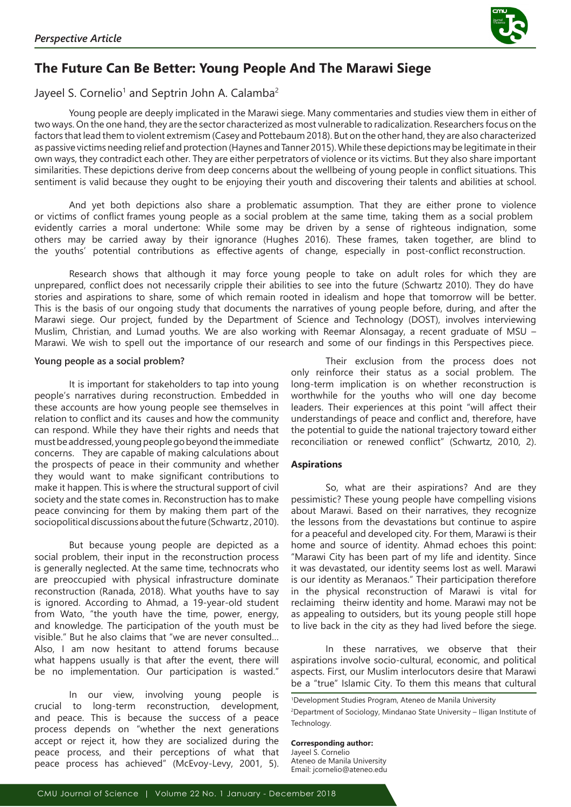

# **The Future Can Be Better: Young People And The Marawi Siege**

## Jayeel S. Cornelio<sup>1</sup> and Septrin John A. Calamba<sup>2</sup>

Young people are deeply implicated in the Marawi siege. Many commentaries and studies view them in either of two ways. On the one hand, they are the sector characterized as most vulnerable to radicalization. Researchers focus on the factors that lead them to violent extremism (Casey and Pottebaum 2018). But on the other hand, they are also characterized as passive victims needing relief and protection (Haynes and Tanner 2015). While these depictions may be legitimate in their own ways, they contradict each other. They are either perpetrators of violence or its victims. But they also share important similarities. These depictions derive from deep concerns about the wellbeing of young people in conflict situations. This sentiment is valid because they ought to be enjoying their youth and discovering their talents and abilities at school.

And yet both depictions also share a problematic assumption. That they are either prone to violence or victims of conflict frames young people as a social problem at the same time, taking them as a social problem evidently carries a moral undertone: While some may be driven by a sense of righteous indignation, some others may be carried away by their ignorance (Hughes 2016). These frames, taken together, are blind to the youths' potential contributions as effective agents of change, especially in post-conflict reconstruction.

Research shows that although it may force young people to take on adult roles for which they are unprepared, conflict does not necessarily cripple their abilities to see into the future (Schwartz 2010). They do have stories and aspirations to share, some of which remain rooted in idealism and hope that tomorrow will be better. This is the basis of our ongoing study that documents the narratives of young people before, during, and after the Marawi siege. Our project, funded by the Department of Science and Technology (DOST), involves interviewing Muslim, Christian, and Lumad youths. We are also working with Reemar Alonsagay, a recent graduate of MSU – Marawi. We wish to spell out the importance of our research and some of our findings in this Perspectives piece.

#### **Young people as a social problem?**

It is important for stakeholders to tap into young people's narratives during reconstruction. Embedded in these accounts are how young people see themselves in relation to conflict and its causes and how the community can respond. While they have their rights and needs that must be addressed, young people go beyond the immediate concerns. They are capable of making calculations about the prospects of peace in their community and whether they would want to make significant contributions to make it happen. This is where the structural support of civil society and the state comes in. Reconstruction has to make peace convincing for them by making them part of the sociopolitical discussions about the future (Schwartz , 2010).

But because young people are depicted as a social problem, their input in the reconstruction process is generally neglected. At the same time, technocrats who are preoccupied with physical infrastructure dominate reconstruction (Ranada, 2018). What youths have to say is ignored. According to Ahmad, a 19-year-old student from Wato, "the youth have the time, power, energy, and knowledge. The participation of the youth must be visible." But he also claims that "we are never consulted… Also, I am now hesitant to attend forums because what happens usually is that after the event, there will be no implementation. Our participation is wasted."

In our view, involving young people is crucial to long-term reconstruction, development, and peace. This is because the success of a peace process depends on "whether the next generations accept or reject it, how they are socialized during the peace process, and their perceptions of what that peace process has achieved" (McEvoy-Levy, 2001, 5).

Their exclusion from the process does not only reinforce their status as a social problem. The long-term implication is on whether reconstruction is worthwhile for the youths who will one day become leaders. Their experiences at this point "will affect their understandings of peace and conflict and, therefore, have the potential to guide the national trajectory toward either reconciliation or renewed conflict" (Schwartz, 2010, 2).

#### **Aspirations**

So, what are their aspirations? And are they pessimistic? These young people have compelling visions about Marawi. Based on their narratives, they recognize the lessons from the devastations but continue to aspire for a peaceful and developed city. For them, Marawi is their home and source of identity. Ahmad echoes this point: "Marawi City has been part of my life and identity. Since it was devastated, our identity seems lost as well. Marawi is our identity as Meranaos." Their participation therefore in the physical reconstruction of Marawi is vital for reclaiming theirw identity and home. Marawi may not be as appealing to outsiders, but its young people still hope to live back in the city as they had lived before the siege.

In these narratives, we observe that their aspirations involve socio-cultural, economic, and political aspects. First, our Muslim interlocutors desire that Marawi be a "true" Islamic City. To them this means that cultural

**Corresponding author:** Jayeel S. Cornelio Ateneo de Manila University

Email: jcornelio@ateneo.edu

<sup>1</sup> Development Studies Program, Ateneo de Manila University 2 Department of Sociology, Mindanao State University – Iligan Institute of Technology.